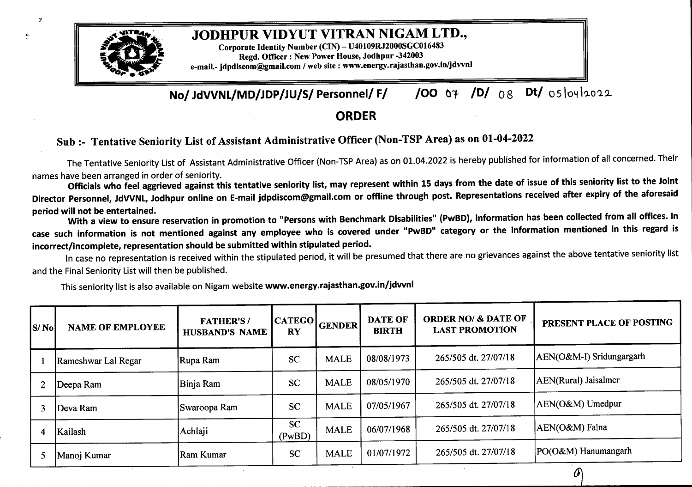

- 51

## JODHPUR VIDYUT VITRAN NIGAM LTD.,

Corporate Identity Number (CIN)-U40109RJ2000SGC016483 Regd. Officer : New Power House, Jodhpur-342003 e-mail.- idpdiscom@gmail.com / web site : www.energy.rajasthan.gov.in/jdvvnl

**No/ JdVVNL/MD/JDP/JU/S/ Personnel/ F/ /OO** o¥ **/D/** 0g **D/** o5lo4loo2

## **ORDER**

## **Sub:- Tentative Seniority List ofAssistant Administrative Officer (Non-TSP Area) as on 01-04-2022**

The Tentative Seniority List of Assistant Administrative Officer {Non-TSP Area) as on 01.04.2022 is hereby published for information of all concerned. Their names have been arranged in order of seniority.

Officials who feel aggrieved against this tentative seniority list, may represent within 15 days from the date of issue of this seniority list to the Joint Director Personnel, JdVVNL, Jodhpur online on E-mail jdpdiscom@gmail.com or offline through post. Representations received after expiry of the aforesaid **period will not be entertained.**

With a view to ensure reservation in promotion to "Persons with Benchmark Disabilities" (PwBD), information has been collected from all offices. In case such information is not mentioned against any employee who is covered under "PwBD" category or the information mentioned in this regard is **incorrect/incomplete, representation should be submitted within stipulated period.**

In case no representation is received within the stipulated period, it will be presumed that there are no grievances against the above tentative seniority list and the Final Seniority List will then be published.

This seniority list is also available on Nigam website **www.energy.rajasthan.gov.in/jdvvnl**

| IS/ Nol | <b>NAME OF EMPLOYEE</b> | <b>FATHER'S/</b><br><b>HUSBAND'S NAME</b> | <b>CATEGO</b><br><b>RY</b> | GENDER      | <b>DATE OF</b><br><b>BIRTH</b> | <b>ORDER NO/ &amp; DATE OF</b><br><b>LAST PROMOTION</b> | PRESENT PLACE OF POSTING |
|---------|-------------------------|-------------------------------------------|----------------------------|-------------|--------------------------------|---------------------------------------------------------|--------------------------|
|         | Rameshwar Lal Regar     | Rupa Ram                                  | <b>SC</b>                  | <b>MALE</b> | 08/08/1973                     | 265/505 dt. 27/07/18                                    | AEN(O&M-I) Sridungargarh |
|         | Deepa Ram               | Binja Ram                                 | <b>SC</b>                  | <b>MALE</b> | 08/05/1970                     | 265/505 dt. 27/07/18                                    | AEN(Rural) Jaisalmer     |
|         | Deva Ram                | Swaroopa Ram                              | <b>SC</b>                  | <b>MALE</b> | 07/05/1967                     | 265/505 dt. 27/07/18                                    | AEN(O&M) Umedpur         |
| 4       | Kailash                 | Achlaji                                   | <b>SC</b><br>(PwBD)        | <b>MALE</b> | 06/07/1968                     | 265/505 dt. 27/07/18                                    | AEN(O&M) Falna           |
|         | Manoj Kumar             | Ram Kumar                                 | <b>SC</b>                  | <b>MALE</b> | 01/07/1972                     | 265/505 dt. 27/07/18                                    | PO(O&M) Hanumangarh      |

O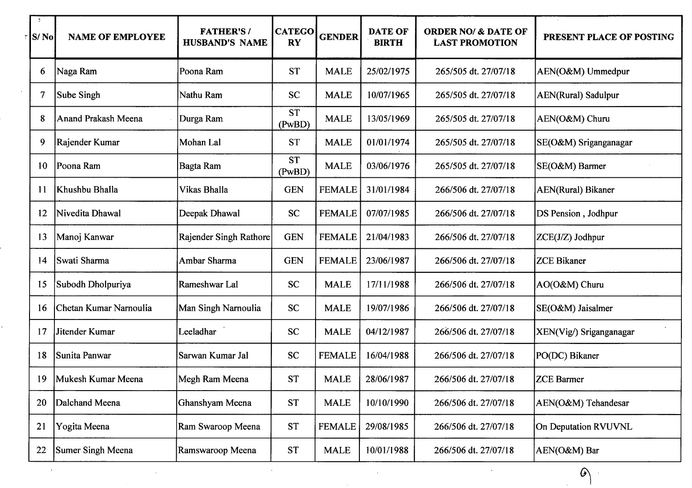| $\ddot{\phantom{1}}$<br>S/No | <b>NAME OF EMPLOYEE</b> | <b>FATHER'S/</b><br><b>HUSBAND'S NAME</b> | <b>CATEGO</b><br><b>RY</b> | <b>GENDER</b> | <b>DATE OF</b><br><b>BIRTH</b> | <b>ORDER NO/ &amp; DATE OF</b><br><b>LAST PROMOTION</b> | PRESENT PLACE OF POSTING   |
|------------------------------|-------------------------|-------------------------------------------|----------------------------|---------------|--------------------------------|---------------------------------------------------------|----------------------------|
| 6                            | Naga Ram                | Poona Ram                                 | <b>ST</b>                  | <b>MALE</b>   | 25/02/1975                     | 265/505 dt. 27/07/18                                    | AEN(O&M) Ummedpur          |
| $\boldsymbol{7}$             | Sube Singh              | Nathu Ram                                 | <b>SC</b>                  | <b>MALE</b>   | 10/07/1965                     | 265/505 dt. 27/07/18                                    | <b>AEN(Rural)</b> Sadulpur |
| 8                            | Anand Prakash Meena     | Durga Ram                                 | <b>ST</b><br>(PwBD)        | <b>MALE</b>   | 13/05/1969                     | 265/505 dt. 27/07/18                                    | AEN(O&M) Churu             |
| 9                            | Rajender Kumar          | Mohan Lal                                 | <b>ST</b>                  | <b>MALE</b>   | 01/01/1974                     | 265/505 dt. 27/07/18                                    | SE(O&M) Sriganganagar      |
| 10                           | Poona Ram               | Bagta Ram                                 | <b>ST</b><br>(PwBD)        | <b>MALE</b>   | 03/06/1976                     | 265/505 dt. 27/07/18                                    | SE(O&M) Barmer             |
| 11                           | Khushbu Bhalla          | Vikas Bhalla                              | <b>GEN</b>                 | <b>FEMALE</b> | 31/01/1984                     | 266/506 dt. 27/07/18                                    | AEN(Rural) Bikaner         |
| 12                           | Nivedita Dhawal         | Deepak Dhawal                             | <b>SC</b>                  | <b>FEMALE</b> | 07/07/1985                     | 266/506 dt. 27/07/18                                    | DS Pension, Jodhpur        |
| 13                           | Manoj Kanwar            | Rajender Singh Rathore                    | <b>GEN</b>                 | <b>FEMALE</b> | 21/04/1983                     | 266/506 dt. 27/07/18                                    | ZCE(J/Z) Jodhpur           |
| 14                           | Swati Sharma            | Ambar Sharma                              | <b>GEN</b>                 | <b>FEMALE</b> | 23/06/1987                     | 266/506 dt. 27/07/18                                    | <b>ZCE Bikaner</b>         |
| 15                           | Subodh Dholpuriya       | Rameshwar Lal                             | <b>SC</b>                  | <b>MALE</b>   | 17/11/1988                     | 266/506 dt. 27/07/18                                    | AO(O&M) Churu              |
| 16                           | Chetan Kumar Narnoulia  | Man Singh Narnoulia                       | <b>SC</b>                  | <b>MALE</b>   | 19/07/1986                     | 266/506 dt. 27/07/18                                    | SE(O&M) Jaisalmer          |
| 17                           | Jitender Kumar          | Leeladhar                                 | <b>SC</b>                  | <b>MALE</b>   | 04/12/1987                     | 266/506 dt. 27/07/18                                    | XEN(Vig/) Sriganganagar    |
| 18                           | Sunita Panwar           | Sarwan Kumar Jal                          | <b>SC</b>                  | <b>FEMALE</b> | 16/04/1988                     | 266/506 dt. 27/07/18                                    | PO(DC) Bikaner             |
| 19                           | Mukesh Kumar Meena      | Megh Ram Meena                            | <b>ST</b>                  | <b>MALE</b>   | 28/06/1987                     | 266/506 dt. 27/07/18                                    | <b>ZCE Barmer</b>          |
| 20                           | Dalchand Meena          | Ghanshyam Meena                           | <b>ST</b>                  | <b>MALE</b>   | 10/10/1990                     | 266/506 dt. 27/07/18                                    | AEN(O&M) Tehandesar        |
| 21                           | Yogita Meena            | Ram Swaroop Meena                         | <b>ST</b>                  | <b>FEMALE</b> | 29/08/1985                     | 266/506 dt. 27/07/18                                    | On Deputation RVUVNL       |
| 22                           | Sumer Singh Meena       | Ramswaroop Meena                          | <b>ST</b>                  | <b>MALE</b>   | 10/01/1988                     | 266/506 dt. 27/07/18                                    | AEN(O&M) Bar               |
|                              |                         |                                           |                            |               |                                |                                                         | $\omega$                   |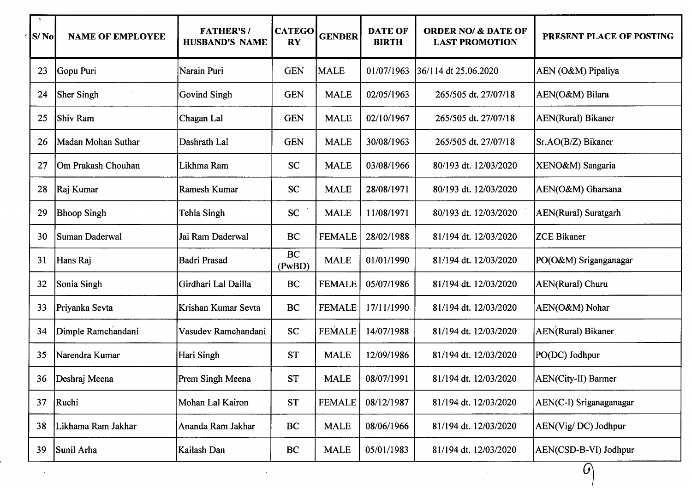| $\rightarrow$<br>S/No | <b>NAME OF EMPLOYEE</b> | <b>FATHER'S/</b><br><b>HUSBAND'S NAME</b> | <b>CATEGO</b><br><b>RY</b> | <b>GENDER</b> | <b>DATE OF</b><br><b>BIRTH</b> | <b>ORDER NO/ &amp; DATE OF</b><br><b>LAST PROMOTION</b> | PRESENT PLACE OF POSTING     |
|-----------------------|-------------------------|-------------------------------------------|----------------------------|---------------|--------------------------------|---------------------------------------------------------|------------------------------|
| 23                    | Gopu Puri               | Narain Puri                               | <b>GEN</b>                 | <b>MALE</b>   | 01/07/1963                     | 36/114 dt 25.06.2020                                    | AEN (O&M) Pipaliya           |
| 24                    | <b>Sher Singh</b>       | <b>Govind Singh</b>                       | <b>GEN</b>                 | <b>MALE</b>   | 02/05/1963                     | 265/505 dt. 27/07/18                                    | AEN(O&M) Bilara              |
| 25                    | Shiv Ram                | Chagan Lal                                | <b>GEN</b>                 | <b>MALE</b>   | 02/10/1967                     | 265/505 dt. 27/07/18                                    | <b>AEN(Rural)</b> Bikaner    |
| 26                    | Madan Mohan Suthar      | Dashrath Lal                              | <b>GEN</b>                 | <b>MALE</b>   | 30/08/1963                     | 265/505 dt. 27/07/18                                    | Sr.AO(B/Z) Bikaner           |
| 27                    | Om Prakash Chouhan      | Likhma Ram                                | <b>SC</b>                  | <b>MALE</b>   | 03/08/1966                     | 80/193 dt. 12/03/2020                                   | XENO&M) Sangaria             |
| 28                    | Raj Kumar               | Ramesh Kumar                              | <b>SC</b>                  | <b>MALE</b>   | 28/08/1971                     | 80/193 dt. 12/03/2020                                   | AEN(O&M) Gharsana            |
| 29                    | <b>Bhoop Singh</b>      | Tehla Singh                               | <b>SC</b>                  | <b>MALE</b>   | 11/08/1971                     | 80/193 dt. 12/03/2020                                   | <b>AEN</b> (Rural) Suratgarh |
| 30                    | Suman Daderwal          | Jai Ram Daderwal                          | BC                         | <b>FEMALE</b> | 28/02/1988                     | 81/194 dt. 12/03/2020                                   | <b>ZCE Bikaner</b>           |
| 31                    | Hans Raj                | <b>Badri Prasad</b>                       | BC<br>(PwBD)               | <b>MALE</b>   | 01/01/1990                     | 81/194 dt. 12/03/2020                                   | PO(O&M) Sriganganagar        |
| 32                    | Sonia Singh             | Girdhari Lal Dailla                       | BC                         | <b>FEMALE</b> | 05/07/1986                     | 81/194 dt. 12/03/2020                                   | AEN(Rural) Churu             |
| 33                    | Priyanka Sevta          | Krishan Kumar Sevta                       | BC                         | <b>FEMALE</b> | 17/11/1990                     | 81/194 dt. 12/03/2020                                   | AEN(O&M) Nohar               |
| 34                    | Dimple Ramchandani      | Vasudev Ramchandani                       | <b>SC</b>                  | <b>FEMALE</b> | 14/07/1988                     | 81/194 dt. 12/03/2020                                   | AEN(Rural) Bikaner           |
| 35                    | Narendra Kumar          | Hari Singh                                | <b>ST</b>                  | <b>MALE</b>   | 12/09/1986                     | 81/194 dt. 12/03/2020                                   | PO(DC) Jodhpur               |
| 36                    | Deshraj Meena           | Prem Singh Meena                          | <b>ST</b>                  | <b>MALE</b>   | 08/07/1991                     | 81/194 dt. 12/03/2020                                   | AEN(City-II) Barmer          |
| 37                    | Ruchi                   | Mohan Lal Kairon                          | ST                         | <b>FEMALE</b> | 08/12/1987                     | 81/194 dt. 12/03/2020                                   | AEN(C-I) Sriganaganagar      |
| 38                    | Likhama Ram Jakhar      | Ananda Ram Jakhar                         | BC                         | <b>MALE</b>   | 08/06/1966                     | 81/194 dt. 12/03/2020                                   | AEN(Vig/DC) Jodhpur          |
| 39                    | Sunil Arha              | Kailash Dan                               | BC                         | <b>MALE</b>   | 05/01/1983                     | 81/194 dt. 12/03/2020                                   | AEN(CSD-B-VI) Jodhpur        |
|                       |                         |                                           |                            |               |                                |                                                         | $\theta$                     |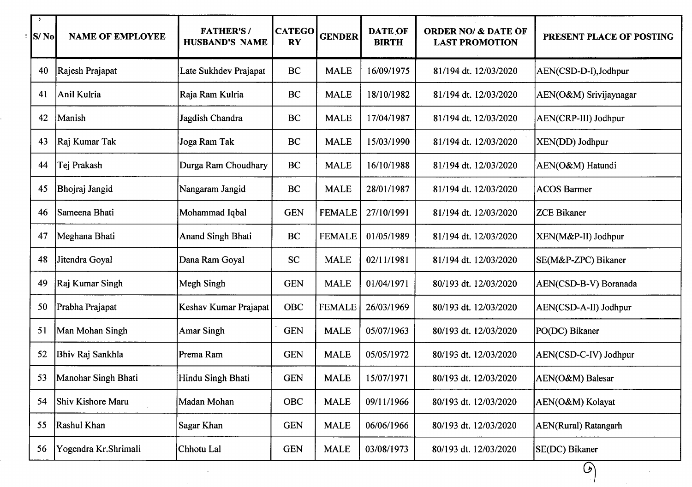| $\mathcal{L}$<br>$ S/N_0 $ | <b>NAME OF EMPLOYEE</b> | <b>FATHER'S/</b><br><b>HUSBAND'S NAME</b> | <b>CATEGO</b><br><b>RY</b> | <b>GENDER</b> | <b>DATE OF</b><br><b>BIRTH</b> | <b>ORDER NO/ &amp; DATE OF</b><br><b>LAST PROMOTION</b> | PRESENT PLACE OF POSTING |
|----------------------------|-------------------------|-------------------------------------------|----------------------------|---------------|--------------------------------|---------------------------------------------------------|--------------------------|
| 40                         | Rajesh Prajapat         | Late Sukhdev Prajapat                     | BC                         | <b>MALE</b>   | 16/09/1975                     | 81/194 dt. 12/03/2020                                   | AEN(CSD-D-I), Jodhpur    |
| 41                         | Anil Kulria             | Raja Ram Kulria                           | BC                         | <b>MALE</b>   | 18/10/1982                     | 81/194 dt. 12/03/2020                                   | AEN(O&M) Srivijaynagar   |
| 42                         | Manish                  | Jagdish Chandra                           | BC                         | <b>MALE</b>   | 17/04/1987                     | 81/194 dt. 12/03/2020                                   | AEN(CRP-III) Jodhpur     |
| 43                         | Raj Kumar Tak           | Joga Ram Tak                              | BC                         | <b>MALE</b>   | 15/03/1990                     | 81/194 dt. 12/03/2020                                   | XEN(DD) Jodhpur          |
| 44                         | Tej Prakash             | Durga Ram Choudhary                       | BC                         | <b>MALE</b>   | 16/10/1988                     | 81/194 dt. 12/03/2020                                   | AEN(O&M) Hatundi         |
| 45                         | Bhojraj Jangid          | Nangaram Jangid                           | BC                         | <b>MALE</b>   | 28/01/1987                     | 81/194 dt. 12/03/2020                                   | <b>ACOS Barmer</b>       |
| 46                         | Sameena Bhati           | Mohammad Iqbal                            | <b>GEN</b>                 | <b>FEMALE</b> | 27/10/1991                     | 81/194 dt. 12/03/2020                                   | <b>ZCE Bikaner</b>       |
| 47                         | Meghana Bhati           | <b>Anand Singh Bhati</b>                  | <b>BC</b>                  | <b>FEMALE</b> | 01/05/1989                     | 81/194 dt. 12/03/2020                                   | XEN(M&P-II) Jodhpur      |
| 48                         | Jitendra Goyal          | Dana Ram Goyal                            | <b>SC</b>                  | <b>MALE</b>   | 02/11/1981                     | 81/194 dt. 12/03/2020                                   | SE(M&P-ZPC) Bikaner      |
| 49                         | Raj Kumar Singh         | Megh Singh                                | <b>GEN</b>                 | <b>MALE</b>   | 01/04/1971                     | 80/193 dt. 12/03/2020                                   | AEN(CSD-B-V) Boranada    |
| 50                         | Prabha Prajapat         | Keshav Kumar Prajapat                     | OBC                        | <b>FEMALE</b> | 26/03/1969                     | 80/193 dt. 12/03/2020                                   | AEN(CSD-A-II) Jodhpur    |
| 51                         | Man Mohan Singh         | <b>Amar Singh</b>                         | <b>GEN</b>                 | <b>MALE</b>   | 05/07/1963                     | 80/193 dt. 12/03/2020                                   | PO(DC) Bikaner           |
| 52                         | Bhiv Raj Sankhla        | Prema Ram                                 | <b>GEN</b>                 | <b>MALE</b>   | 05/05/1972                     | 80/193 dt. 12/03/2020                                   | AEN(CSD-C-IV) Jodhpur    |
| 53                         | Manohar Singh Bhati     | Hindu Singh Bhati                         | <b>GEN</b>                 | <b>MALE</b>   | 15/07/1971                     | 80/193 dt. 12/03/2020                                   | AEN(O&M) Balesar         |
| 54                         | Shiv Kishore Maru       | Madan Mohan                               | OBC                        | <b>MALE</b>   | 09/11/1966                     | 80/193 dt. 12/03/2020                                   | AEN(O&M) Kolayat         |
| 55                         | Rashul Khan             | Sagar Khan                                | <b>GEN</b>                 | <b>MALE</b>   | 06/06/1966                     | 80/193 dt. 12/03/2020                                   | AEN(Rural) Ratangarh     |
| 56                         | Yogendra Kr.Shrimali    | Chhotu Lal                                | <b>GEN</b>                 | <b>MALE</b>   | 03/08/1973                     | 80/193 dt. 12/03/2020                                   | SE(DC) Bikaner           |

 $\sim 10^{11}$  km s  $^{-1}$ 

 $\Theta$ 

 $\frac{1}{2} \sum_{i=1}^n \frac{1}{2} \sum_{j=1}^n \frac{1}{2} \sum_{j=1}^n \frac{1}{2} \sum_{j=1}^n \frac{1}{2} \sum_{j=1}^n \frac{1}{2} \sum_{j=1}^n \frac{1}{2} \sum_{j=1}^n \frac{1}{2} \sum_{j=1}^n \frac{1}{2} \sum_{j=1}^n \frac{1}{2} \sum_{j=1}^n \frac{1}{2} \sum_{j=1}^n \frac{1}{2} \sum_{j=1}^n \frac{1}{2} \sum_{j=1}^n \frac{1}{2} \sum_{j=$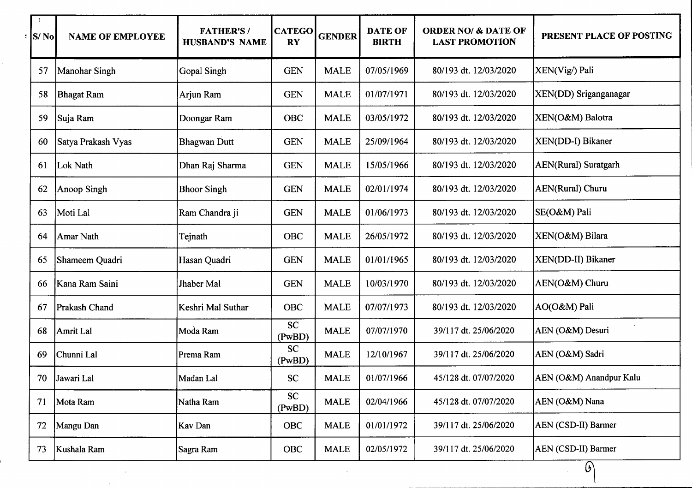| $\cdot$<br><b>S/No</b> | <b>NAME OF EMPLOYEE</b> | <b>FATHER'S/</b><br>HUSBAND'S NAME | <b>CATEGO</b><br><b>RY</b> | <b>GENDER</b> | <b>DATE OF</b><br><b>BIRTH</b> | <b>ORDER NO/ &amp; DATE OF</b><br><b>LAST PROMOTION</b> | PRESENT PLACE OF POSTING    |
|------------------------|-------------------------|------------------------------------|----------------------------|---------------|--------------------------------|---------------------------------------------------------|-----------------------------|
| 57                     | Manohar Singh           | Gopal Singh                        | <b>GEN</b>                 | <b>MALE</b>   | 07/05/1969                     | 80/193 dt. 12/03/2020                                   | XEN(Vig/) Pali              |
| 58                     | <b>Bhagat Ram</b>       | Arjun Ram                          | <b>GEN</b>                 | <b>MALE</b>   | 01/07/1971                     | 80/193 dt. 12/03/2020                                   | XEN(DD) Sriganganagar       |
| 59                     | Suja Ram                | Doongar Ram                        | <b>OBC</b>                 | <b>MALE</b>   | 03/05/1972                     | 80/193 dt. 12/03/2020                                   | XEN(O&M) Balotra            |
| 60                     | Satya Prakash Vyas      | <b>Bhagwan Dutt</b>                | <b>GEN</b>                 | <b>MALE</b>   | 25/09/1964                     | 80/193 dt. 12/03/2020                                   | XEN(DD-I) Bikaner           |
| 61                     | Lok Nath                | Dhan Raj Sharma                    | <b>GEN</b>                 | <b>MALE</b>   | 15/05/1966                     | 80/193 dt. 12/03/2020                                   | <b>AEN(Rural)</b> Suratgarh |
| 62                     | Anoop Singh             | <b>Bhoor Singh</b>                 | <b>GEN</b>                 | <b>MALE</b>   | 02/01/1974                     | 80/193 dt. 12/03/2020                                   | AEN(Rural) Churu            |
| 63                     | Moti Lal                | Ram Chandra ji                     | <b>GEN</b>                 | <b>MALE</b>   | 01/06/1973                     | 80/193 dt. 12/03/2020                                   | SE(O&M) Pali                |
| 64                     | Amar Nath               | Tejnath                            | <b>OBC</b>                 | <b>MALE</b>   | 26/05/1972                     | 80/193 dt. 12/03/2020                                   | XEN(O&M) Bilara             |
| 65                     | Shameem Quadri          | Hasan Quadri                       | <b>GEN</b>                 | <b>MALE</b>   | 01/01/1965                     | 80/193 dt. 12/03/2020                                   | XEN(DD-II) Bikaner          |
| 66                     | Kana Ram Saini          | Jhaber Mal                         | <b>GEN</b>                 | <b>MALE</b>   | 10/03/1970                     | 80/193 dt. 12/03/2020                                   | AEN(O&M) Churu              |
| 67                     | Prakash Chand           | Keshri Mal Suthar                  | <b>OBC</b>                 | <b>MALE</b>   | 07/07/1973                     | 80/193 dt. 12/03/2020                                   | AO(O&M) Pali                |
| 68                     | Amrit Lal               | Moda Ram                           | <b>SC</b><br>(PwBD)        | <b>MALE</b>   | 07/07/1970                     | 39/117 dt. 25/06/2020                                   | AEN (O&M) Desuri            |
| 69                     | Chunni Lal              | Prema Ram                          | <b>SC</b><br>(PwBD)        | <b>MALE</b>   | 12/10/1967                     | 39/117 dt. 25/06/2020                                   | AEN (O&M) Sadri             |
| 70                     | Jawari Lal              | Madan Lal                          | <b>SC</b>                  | <b>MALE</b>   | 01/07/1966                     | 45/128 dt. 07/07/2020                                   | AEN (O&M) Anandpur Kalu     |
| 71                     | Mota Ram                | Natha Ram                          | <b>SC</b><br>(PwBD)        | <b>MALE</b>   | 02/04/1966                     | 45/128 dt. 07/07/2020                                   | AEN (O&M) Nana              |
| 72                     | Mangu Dan               | Kav Dan                            | <b>OBC</b>                 | <b>MALE</b>   | 01/01/1972                     | 39/117 dt. 25/06/2020                                   | AEN (CSD-II) Barmer         |
| 73                     | Kushala Ram             | Sagra Ram                          | <b>OBC</b>                 | <b>MALE</b>   | 02/05/1972                     | 39/117 dt. 25/06/2020                                   | AEN (CSD-II) Barmer         |

 $\mathcal{L}^{\mathcal{L}}(x)$  and  $\mathcal{L}^{\mathcal{L}}(x)$  are the set of the set of the set of the set of the set of the set of the set of the set of the set of the set of the set of the set of the set of the set of the set of the set of

 $\label{eq:2.1} \frac{1}{\sqrt{2\pi}}\int_{0}^{\infty}\frac{1}{\sqrt{2\pi}}\left(\frac{1}{\sqrt{2\pi}}\right)^{2\alpha} \frac{1}{\sqrt{2\pi}}\int_{0}^{\infty}\frac{1}{\sqrt{2\pi}}\left(\frac{1}{\sqrt{2\pi}}\right)^{\alpha} \frac{1}{\sqrt{2\pi}}\frac{1}{\sqrt{2\pi}}\int_{0}^{\infty}\frac{1}{\sqrt{2\pi}}\frac{1}{\sqrt{2\pi}}\frac{1}{\sqrt{2\pi}}\frac{1}{\sqrt{2\pi}}\frac{1}{\sqrt{2\pi}}\frac{1}{\sqrt{2\$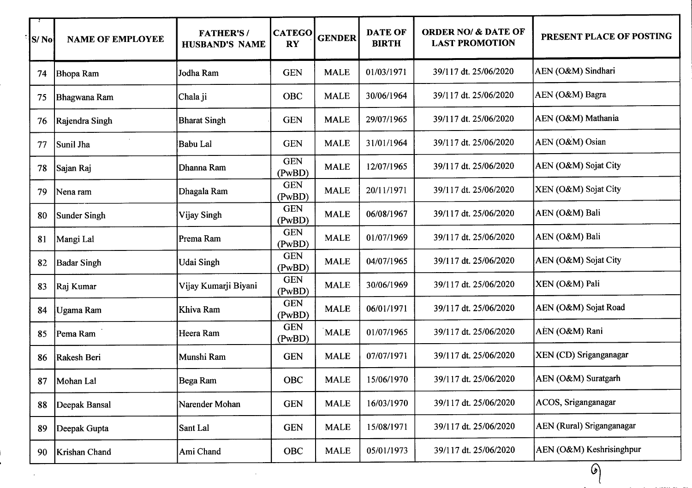| S/No | <b>NAME OF EMPLOYEE</b> | <b>FATHER'S/</b><br><b>HUSBAND'S NAME</b> | <b>CATEGO</b><br><b>RY</b> | <b>GENDER</b> | <b>DATE OF</b><br><b>BIRTH</b> | <b>ORDER NO/ &amp; DATE OF</b><br><b>LAST PROMOTION</b> | PRESENT PLACE OF POSTING         |
|------|-------------------------|-------------------------------------------|----------------------------|---------------|--------------------------------|---------------------------------------------------------|----------------------------------|
| 74   | Bhopa Ram               | Jodha Ram                                 | <b>GEN</b>                 | <b>MALE</b>   | 01/03/1971                     | 39/117 dt. 25/06/2020                                   | AEN (O&M) Sindhari               |
| 75   | Bhagwana Ram            | Chala ji                                  | <b>OBC</b>                 | <b>MALE</b>   | 30/06/1964                     | 39/117 dt. 25/06/2020                                   | AEN (O&M) Bagra                  |
| 76   | Rajendra Singh          | <b>Bharat Singh</b>                       | <b>GEN</b>                 | <b>MALE</b>   | 29/07/1965                     | 39/117 dt. 25/06/2020                                   | AEN (O&M) Mathania               |
| 77   | Sunil Jha               | Babu Lal                                  | <b>GEN</b>                 | <b>MALE</b>   | 31/01/1964                     | 39/117 dt. 25/06/2020                                   | AEN (O&M) Osian                  |
| 78   | Sajan Raj               | Dhanna Ram                                | <b>GEN</b><br>(PwBD)       | <b>MALE</b>   | 12/07/1965                     | 39/117 dt. 25/06/2020                                   | AEN (O&M) Sojat City             |
| 79   | Nena ram                | Dhagala Ram                               | <b>GEN</b><br>(PwBD)       | <b>MALE</b>   | 20/11/1971                     | 39/117 dt. 25/06/2020                                   | XEN (O&M) Sojat City             |
| 80   | <b>Sunder Singh</b>     | Vijay Singh                               | <b>GEN</b><br>(PwBD)       | <b>MALE</b>   | 06/08/1967                     | 39/117 dt. 25/06/2020                                   | AEN (O&M) Bali                   |
| 81   | Mangi Lal               | Prema Ram                                 | <b>GEN</b><br>(PwBD)       | <b>MALE</b>   | 01/07/1969                     | 39/117 dt. 25/06/2020                                   | AEN (O&M) Bali                   |
| 82   | <b>Badar Singh</b>      | Udai Singh                                | <b>GEN</b><br>(PwBD)       | <b>MALE</b>   | 04/07/1965                     | 39/117 dt. 25/06/2020                                   | AEN (O&M) Sojat City             |
| 83   | Raj Kumar               | Vijay Kumarji Biyani                      | <b>GEN</b><br>(PwBD)       | <b>MALE</b>   | 30/06/1969                     | 39/117 dt. 25/06/2020                                   | XEN (O&M) Pali                   |
| 84   | Ugama Ram               | Khiva Ram                                 | <b>GEN</b><br>(PwBD)       | <b>MALE</b>   | 06/01/1971                     | 39/117 dt. 25/06/2020                                   | AEN (O&M) Sojat Road             |
| 85   | Pema Ram                | Heera Ram                                 | <b>GEN</b><br>(PwBD)       | MALE          | 01/07/1965                     | 39/117 dt. 25/06/2020                                   | AEN (O&M) Rani                   |
| 86   | Rakesh Beri             | Munshi Ram                                | <b>GEN</b>                 | <b>MALE</b>   | 07/07/1971                     | 39/117 dt. 25/06/2020                                   | XEN (CD) Sriganganagar           |
| 87   | Mohan Lal               | Bega Ram                                  | <b>OBC</b>                 | <b>MALE</b>   | 15/06/1970                     | 39/117 dt. 25/06/2020                                   | AEN (O&M) Suratgarh              |
| 88   | Deepak Bansal           | Narender Mohan                            | <b>GEN</b>                 | <b>MALE</b>   | 16/03/1970                     | 39/117 dt. 25/06/2020                                   | ACOS, Sriganganagar              |
| 89   | Deepak Gupta            | Sant Lal                                  | <b>GEN</b>                 | <b>MALE</b>   | 15/08/1971                     | 39/117 dt. 25/06/2020                                   | <b>AEN</b> (Rural) Sriganganagar |
| 90   | Krishan Chand           | Ami Chand                                 | OBC                        | <b>MALE</b>   | 05/01/1973                     | 39/117 dt. 25/06/2020                                   | AEN (O&M) Keshrisinghpur         |

 $\mathcal{L}^{\text{max}}_{\text{max}}$  .

 $\bar{z}$ 

 $\odot$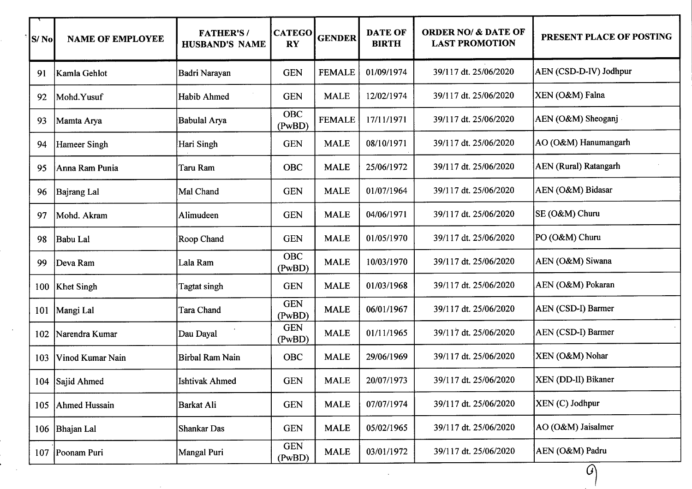| S/No | <b>NAME OF EMPLOYEE</b> | <b>FATHER'S/</b><br><b>HUSBAND'S NAME</b> | <b>CATEGO</b><br><b>RY</b> | <b>GENDER</b> | <b>DATE OF</b><br><b>BIRTH</b> | <b>ORDER NO/ &amp; DATE OF</b><br><b>LAST PROMOTION</b> | PRESENT PLACE OF POSTING     |
|------|-------------------------|-------------------------------------------|----------------------------|---------------|--------------------------------|---------------------------------------------------------|------------------------------|
| 91   | Kamla Gehlot            | Badri Narayan                             | <b>GEN</b>                 | <b>FEMALE</b> | 01/09/1974                     | 39/117 dt. 25/06/2020                                   | AEN (CSD-D-IV) Jodhpur       |
| 92   | Mohd.Yusuf              | Habib Ahmed                               | <b>GEN</b>                 | <b>MALE</b>   | 12/02/1974                     | 39/117 dt. 25/06/2020                                   | XEN (O&M) Falna              |
| 93   | Mamta Arya              | <b>Babulal Arya</b>                       | <b>OBC</b><br>(PwBD)       | <b>FEMALE</b> | 17/11/1971                     | 39/117 dt. 25/06/2020                                   | AEN (O&M) Sheoganj           |
| 94   | Hameer Singh            | Hari Singh                                | <b>GEN</b>                 | <b>MALE</b>   | 08/10/1971                     | 39/117 dt. 25/06/2020                                   | AO (O&M) Hanumangarh         |
| 95   | Anna Ram Punia          | Taru Ram                                  | <b>OBC</b>                 | <b>MALE</b>   | 25/06/1972                     | 39/117 dt. 25/06/2020                                   | <b>AEN</b> (Rural) Ratangarh |
| 96   | <b>Bajrang Lal</b>      | Mal Chand                                 | <b>GEN</b>                 | <b>MALE</b>   | 01/07/1964                     | 39/117 dt. 25/06/2020                                   | AEN (O&M) Bidasar            |
| 97   | Mohd. Akram             | Alimudeen                                 | <b>GEN</b>                 | <b>MALE</b>   | 04/06/1971                     | 39/117 dt. 25/06/2020                                   | SE (O&M) Churu               |
| 98   | Babu Lal                | Roop Chand                                | <b>GEN</b>                 | <b>MALE</b>   | 01/05/1970                     | 39/117 dt. 25/06/2020                                   | PO (O&M) Churu               |
| 99   | Deva Ram                | Lala Ram                                  | OBC<br>(PwBD)              | <b>MALE</b>   | 10/03/1970                     | 39/117 dt. 25/06/2020                                   | AEN (O&M) Siwana             |
| 100  | <b>Khet Singh</b>       | Tagtat singh                              | <b>GEN</b>                 | <b>MALE</b>   | 01/03/1968                     | 39/117 dt. 25/06/2020                                   | AEN (O&M) Pokaran            |
| 101  | Mangi Lal               | Tara Chand                                | <b>GEN</b><br>(PwBD)       | <b>MALE</b>   | 06/01/1967                     | 39/117 dt. 25/06/2020                                   | AEN (CSD-I) Barmer           |
| 102  | Narendra Kumar          | Dau Dayal                                 | <b>GEN</b><br>(PwBD)       | <b>MALE</b>   | 01/11/1965                     | 39/117 dt. 25/06/2020                                   | AEN (CSD-I) Barmer           |
| 103  | Vinod Kumar Nain        | <b>Birbal Ram Nain</b>                    | OBC                        | <b>MALE</b>   | 29/06/1969                     | 39/117 dt. 25/06/2020                                   | XEN (O&M) Nohar              |
|      | 104 Sajid Ahmed         | <b>Ishtivak Ahmed</b>                     | <b>GEN</b>                 | <b>MALE</b>   | 20/07/1973                     | 39/117 dt. 25/06/2020                                   | XEN (DD-II) Bikaner          |
| 105  | <b>Ahmed Hussain</b>    | Barkat Ali                                | <b>GEN</b>                 | <b>MALE</b>   | 07/07/1974                     | 39/117 dt. 25/06/2020                                   | $\vert$ XEN (C) Jodhpur      |
| 106  | Bhajan Lal              | Shankar Das                               | <b>GEN</b>                 | <b>MALE</b>   | 05/02/1965                     | 39/117 dt. 25/06/2020                                   | AO (O&M) Jaisalmer           |
| 107  | Poonam Puri             | Mangal Puri                               | <b>GEN</b><br>(PwBD)       | <b>MALE</b>   | 03/01/1972                     | 39/117 dt. 25/06/2020                                   | AEN (O&M) Padru              |
|      |                         |                                           |                            |               |                                |                                                         | $\mathcal G$                 |

 $\sim$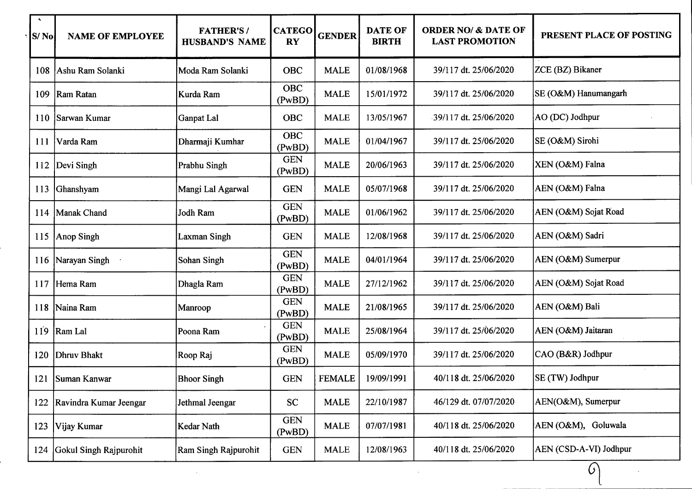| $\blacktriangleleft$<br>S/No | <b>NAME OF EMPLOYEE</b> | <b>FATHER'S/</b><br><b>HUSBAND'S NAME</b> | <b>CATEGO</b><br><b>RY</b> | <b>GENDER</b> | <b>DATE OF</b><br><b>BIRTH</b> | <b>ORDER NO/ &amp; DATE OF</b><br><b>LAST PROMOTION</b> | PRESENT PLACE OF POSTING |
|------------------------------|-------------------------|-------------------------------------------|----------------------------|---------------|--------------------------------|---------------------------------------------------------|--------------------------|
| 108                          | Ashu Ram Solanki        | Moda Ram Solanki                          | <b>OBC</b>                 | <b>MALE</b>   | 01/08/1968                     | 39/117 dt. 25/06/2020                                   | ZCE (BZ) Bikaner         |
| 109                          | Ram Ratan               | Kurda Ram                                 | <b>OBC</b><br>(PwBD)       | <b>MALE</b>   | 15/01/1972                     | 39/117 dt. 25/06/2020                                   | SE (O&M) Hanumangarh     |
| 110                          | Sarwan Kumar            | Ganpat Lal                                | <b>OBC</b>                 | <b>MALE</b>   | 13/05/1967                     | 39/117 dt. 25/06/2020                                   | AO (DC) Jodhpur          |
| <b>111</b>                   | Varda Ram               | Dharmaji Kumhar                           | <b>OBC</b><br>(PwBD)       | <b>MALE</b>   | 01/04/1967                     | 39/117 dt. 25/06/2020                                   | SE (O&M) Sirohi          |
| 112                          | Devi Singh              | Prabhu Singh                              | <b>GEN</b><br>(PwBD)       | <b>MALE</b>   | 20/06/1963                     | 39/117 dt. 25/06/2020                                   | XEN (O&M) Falna          |
| 113                          | Ghanshyam               | Mangi Lal Agarwal                         | <b>GEN</b>                 | <b>MALE</b>   | 05/07/1968                     | 39/117 dt. 25/06/2020                                   | AEN (O&M) Falna          |
| 114                          | Manak Chand             | Jodh Ram                                  | <b>GEN</b><br>(PwBD)       | <b>MALE</b>   | 01/06/1962                     | 39/117 dt. 25/06/2020                                   | AEN (O&M) Sojat Road     |
| 115                          | Anop Singh              | Laxman Singh                              | <b>GEN</b>                 | <b>MALE</b>   | 12/08/1968                     | 39/117 dt. 25/06/2020                                   | AEN (O&M) Sadri          |
| 116                          | Narayan Singh           | Sohan Singh                               | <b>GEN</b><br>(PwBD)       | <b>MALE</b>   | 04/01/1964                     | 39/117 dt. 25/06/2020                                   | AEN (O&M) Sumerpur       |
| 117                          | Hema Ram                | Dhagla Ram                                | <b>GEN</b><br>(PwBD)       | <b>MALE</b>   | 27/12/1962                     | 39/117 dt. 25/06/2020                                   | AEN (O&M) Sojat Road     |
| 118                          | Naina Ram               | Manroop                                   | <b>GEN</b><br>(PwBD)       | <b>MALE</b>   | 21/08/1965                     | 39/117 dt. 25/06/2020                                   | AEN (O&M) Bali           |
| 119                          | Ram Lal                 | Poona Ram                                 | <b>GEN</b><br>(PwBD)       | <b>MALE</b>   | 25/08/1964                     | 39/117 dt. 25/06/2020                                   | AEN (O&M) Jaitaran       |
| 120                          | Dhruv Bhakt             | Roop Raj                                  | <b>GEN</b><br>(PwBD)       | <b>MALE</b>   | 05/09/1970                     | 39/117 dt. 25/06/2020                                   | CAO (B&R) Jodhpur        |
| 121                          | <b>Suman Kanwar</b>     | <b>Bhoor Singh</b>                        | <b>GEN</b>                 | <b>FEMALE</b> | 19/09/1991                     | 40/118 dt. 25/06/2020                                   | SE (TW) Jodhpur          |
| 122                          | Ravindra Kumar Jeengar  | Jethmal Jeengar                           | <b>SC</b>                  | <b>MALE</b>   | 22/10/1987                     | 46/129 dt. 07/07/2020                                   | AEN(O&M), Sumerpur       |
| 123                          | Vijay Kumar             | Kedar Nath                                | <b>GEN</b><br>(PwBD)       | <b>MALE</b>   | 07/07/1981                     | 40/118 dt. 25/06/2020                                   | AEN (O&M), Goluwala      |
| 124                          | Gokul Singh Rajpurohit  | Ram Singh Rajpurohit                      | <b>GEN</b>                 | <b>MALE</b>   | 12/08/1963                     | 40/118 dt. 25/06/2020                                   | AEN (CSD-A-VI) Jodhpur   |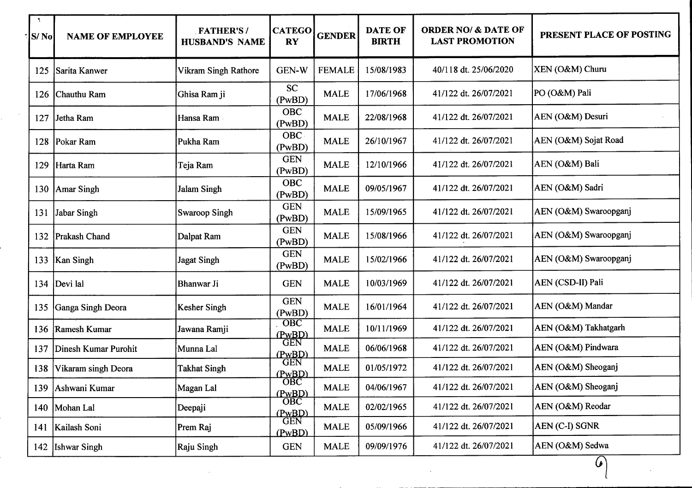| $\mathcal{L}$<br>S/No | <b>NAME OF EMPLOYEE</b> | <b>FATHER'S/</b><br><b>HUSBAND'S NAME</b> | <b>CATEGO</b><br><b>RY</b> | <b>GENDER</b> | <b>DATE OF</b><br><b>BIRTH</b> | <b>ORDER NO/ &amp; DATE OF</b><br><b>LAST PROMOTION</b> | PRESENT PLACE OF POSTING |
|-----------------------|-------------------------|-------------------------------------------|----------------------------|---------------|--------------------------------|---------------------------------------------------------|--------------------------|
| 125                   | Sarita Kanwer           | Vikram Singh Rathore                      | GEN-W                      | <b>FEMALE</b> | 15/08/1983                     | 40/118 dt. 25/06/2020                                   | XEN (O&M) Churu          |
| 126                   | Chauthu Ram             | Ghisa Ram ji                              | <b>SC</b><br>(PwBD)        | <b>MALE</b>   | 17/06/1968                     | 41/122 dt. 26/07/2021                                   | PO (O&M) Pali            |
| 127                   | Jetha Ram               | Hansa Ram                                 | <b>OBC</b><br>(PwBD)       | <b>MALE</b>   | 22/08/1968                     | 41/122 dt. 26/07/2021                                   | AEN (O&M) Desuri         |
| 128                   | Pokar Ram               | Pukha Ram                                 | <b>OBC</b><br>(PwBD)       | <b>MALE</b>   | 26/10/1967                     | 41/122 dt. 26/07/2021                                   | AEN (O&M) Sojat Road     |
| 129                   | Harta Ram               | Teja Ram                                  | <b>GEN</b><br>(PwBD)       | <b>MALE</b>   | 12/10/1966                     | 41/122 dt. 26/07/2021                                   | AEN (O&M) Bali           |
| 130                   | Amar Singh              | <b>Jalam Singh</b>                        | <b>OBC</b><br>(PwBD)       | <b>MALE</b>   | 09/05/1967                     | 41/122 dt. 26/07/2021                                   | AEN (O&M) Sadri          |
| 131                   | Jabar Singh             | Swaroop Singh                             | <b>GEN</b><br>(PwBD)       | <b>MALE</b>   | 15/09/1965                     | 41/122 dt. 26/07/2021                                   | AEN (O&M) Swaroopganj    |
|                       | 132 Prakash Chand       | Dalpat Ram                                | <b>GEN</b><br>(PwBD)       | <b>MALE</b>   | 15/08/1966                     | 41/122 dt. 26/07/2021                                   | AEN (O&M) Swaroopganj    |
|                       | 133   Kan Singh         | <b>Jagat Singh</b>                        | <b>GEN</b><br>(PwBD)       | <b>MALE</b>   | 15/02/1966                     | 41/122 dt. 26/07/2021                                   | AEN (O&M) Swaroopganj    |
| 134                   | Devi lal                | Bhanwar Ji                                | <b>GEN</b>                 | <b>MALE</b>   | 10/03/1969                     | 41/122 dt. 26/07/2021                                   | AEN (CSD-II) Pali        |
| 135                   | Ganga Singh Deora       | Kesher Singh                              | <b>GEN</b><br>(PwBD)       | <b>MALE</b>   | 16/01/1964                     | 41/122 dt. 26/07/2021                                   | AEN (O&M) Mandar         |
| 136                   | Ramesh Kumar            | Jawana Ramji                              | OBC<br>(PwBD)              | <b>MALE</b>   | 10/11/1969                     | 41/122 dt. 26/07/2021                                   | AEN (O&M) Takhatgarh     |
| 137                   | Dinesh Kumar Purohit    | Munna Lal                                 | <b>GEN</b><br>(PwBD)       | <b>MALE</b>   | 06/06/1968                     | 41/122 dt. 26/07/2021                                   | AEN (O&M) Pindwara       |
| 138                   | Vikaram singh Deora     | <b>Takhat Singh</b>                       | <b>GEN</b><br>(PwBD)       | <b>MALE</b>   | 01/05/1972                     | 41/122 dt. 26/07/2021                                   | AEN (O&M) Sheoganj       |
| 139                   | Ashwani Kumar           | Magan Lal                                 | OBC<br>(PwBD)              | <b>MALE</b>   | 04/06/1967                     | 41/122 dt. 26/07/2021                                   | AEN (O&M) Sheoganj       |
|                       | 140   Mohan Lal         | Deepaji                                   | <b>OBC</b><br>(PwBD)       | <b>MALE</b>   | 02/02/1965                     | 41/122 dt. 26/07/2021                                   | AEN (O&M) Reodar         |
| 141                   | Kailash Soni            | Prem Raj                                  | <b>GEN</b><br>(PwBD)       | <b>MALE</b>   | 05/09/1966                     | 41/122 dt. 26/07/2021                                   | AEN (C-I) SGNR           |
| 142                   | <b>Ishwar Singh</b>     | Raju Singh                                | <b>GEN</b>                 | <b>MALE</b>   | 09/09/1976                     | 41/122 dt. 26/07/2021                                   | AEN (O&M) Sedwa          |
|                       |                         |                                           |                            |               |                                |                                                         | $\mathcal{L}$            |